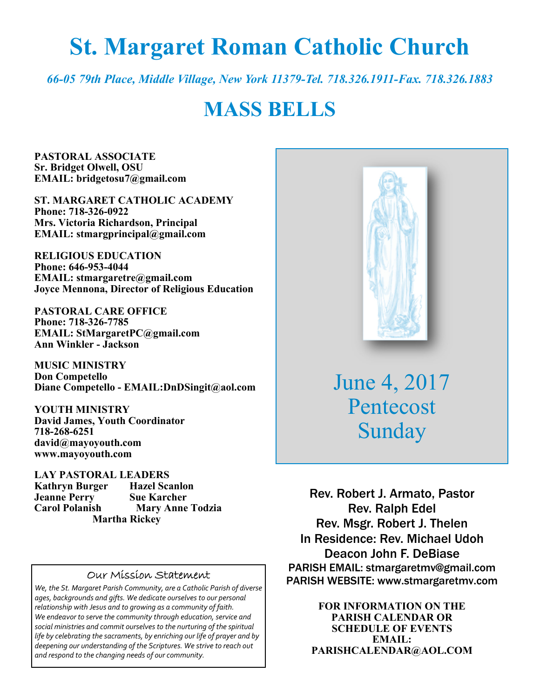# **St. Margaret Roman Catholic Church**

*66-05 79th Place, Middle Village, New York 11379-Tel. 718.326.1911-Fax. 718.326.1883* 

# **MASS BELLS**

**PASTORAL ASSOCIATE Sr. Bridget Olwell, OSU EMAIL: bridgetosu7@gmail.com** 

**ST. MARGARET CATHOLIC ACADEMY Phone: 718-326-0922 Mrs. Victoria Richardson, Principal EMAIL: stmargprincipal@gmail.com** 

**RELIGIOUS EDUCATION Phone: 646-953-4044 EMAIL: stmargaretre@gmail.com Joyce Mennona, Director of Religious Education** 

**PASTORAL CARE OFFICE Phone: 718-326-7785 EMAIL: StMargaretPC@gmail.com Ann Winkler - Jackson** 

**MUSIC MINISTRY Don Competello Diane Competello - EMAIL:DnDSingit@aol.com** 

**YOUTH MINISTRY David James, Youth Coordinator 718-268-6251 david@mayoyouth.com www.mayoyouth.com** 

**LAY PASTORAL LEADERS Kathryn Burger Hazel Scanlon Jeanne Perry Sue Karcher Carol Polanish Mary Anne Todzia Martha Rickey** 

#### Our Mission Statement

*We, the St. Margaret Parish Community, are a Catholic Parish of diverse ages, backgrounds and gifts. We dedicate ourselves to our personal relationship with Jesus and to growing as a community of faith. We endeavor to serve the community through education, service and social ministries and commit ourselves to the nurturing of the spiritual life by celebrating the sacraments, by enriching our life of prayer and by deepening our understanding of the Scriptures. We strive to reach out and respond to the changing needs of our community.*



June 4, 2017 Pentecost Sunday

Rev. Robert J. Armato, Pastor Rev. Ralph Edel Rev. Msgr. Robert J. Thelen In Residence: Rev. Michael Udoh Deacon John F. DeBiase PARISH EMAIL: stmargaretmv@gmail.com PARISH WEBSITE: www.stmargaretmv.com

> **FOR INFORMATION ON THE PARISH CALENDAR OR SCHEDULE OF EVENTS EMAIL: PARISHCALENDAR@AOL.COM**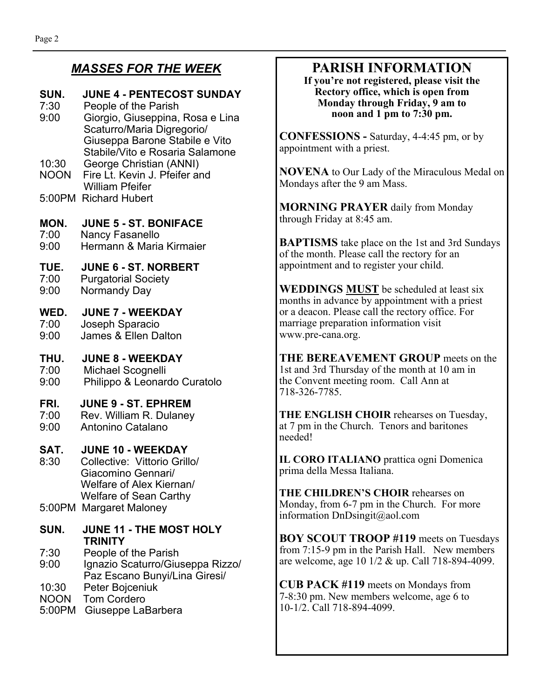## *MASSES FOR THE WEEK*

#### **SUN. JUNE 4 - PENTECOST SUNDAY**

- 7:30 People of the Parish 9:00 Giorgio, Giuseppina, Rosa e Lina Scaturro/Maria Digregorio/ Giuseppa Barone Stabile e Vito Stabile/Vito e Rosaria Salamone 10:30 George Christian (ANNI)
- NOON Fire Lt. Kevin J. Pfeifer and William Pfeifer
- 5:00PM Richard Hubert

#### **MON. JUNE 5 - ST. BONIFACE**

7:00 Nancy Fasanello 9:00 Hermann & Maria Kirmaier

#### **TUE. JUNE 6 - ST. NORBERT**

7:00 Purgatorial Society 9:00 Normandy Day

#### **WED. JUNE 7 - WEEKDAY**

7:00 Joseph Sparacio 9:00 James & Ellen Dalton

#### **THU. JUNE 8 - WEEKDAY**

7:00 Michael Scognelli 9:00 Philippo & Leonardo Curatolo

#### **FRI. JUNE 9 - ST. EPHREM**

- 7:00 Rev. William R. Dulaney
- 9:00 Antonino Catalano

#### **SAT. JUNE 10 - WEEKDAY**

- 8:30 Collective: Vittorio Grillo/ Giacomino Gennari/ Welfare of Alex Kiernan/ Welfare of Sean Carthy
- 5:00PM Margaret Maloney

#### **SUN. JUNE 11 - THE MOST HOLY TRINITY**

7:30 People of the Parish

- 9:00 Ignazio Scaturro/Giuseppa Rizzo/ Paz Escano Bunyi/Lina Giresi/
- 10:30 Peter Bojceniuk
- NOON Tom Cordero
- 5:00PM Giuseppe LaBarbera

## **PARISH INFORMATION**

**If you're not registered, please visit the Rectory office, which is open from Monday through Friday, 9 am to noon and 1 pm to 7:30 pm.** 

**CONFESSIONS -** Saturday, 4-4:45 pm, or by appointment with a priest.

**NOVENA** to Our Lady of the Miraculous Medal on Mondays after the 9 am Mass.

**MORNING PRAYER** daily from Monday through Friday at 8:45 am.

**BAPTISMS** take place on the 1st and 3rd Sundays of the month. Please call the rectory for an appointment and to register your child.

**WEDDINGS MUST** be scheduled at least six months in advance by appointment with a priest or a deacon. Please call the rectory office. For marriage preparation information visit www.pre-cana.org.

**THE BEREAVEMENT GROUP** meets on the 1st and 3rd Thursday of the month at 10 am in the Convent meeting room. Call Ann at 718-326-7785.

**THE ENGLISH CHOIR** rehearses on Tuesday, at 7 pm in the Church. Tenors and baritones needed!

**IL CORO ITALIANO** prattica ogni Domenica prima della Messa Italiana.

**THE CHILDREN'S CHOIR** rehearses on Monday, from 6-7 pm in the Church. For more information DnDsingit@aol.com

**BOY SCOUT TROOP #119** meets on Tuesdays from 7:15-9 pm in the Parish Hall. New members are welcome, age 10 1/2 & up. Call 718-894-4099.

**CUB PACK #119** meets on Mondays from 7-8:30 pm. New members welcome, age 6 to 10-1/2. Call 718-894-4099.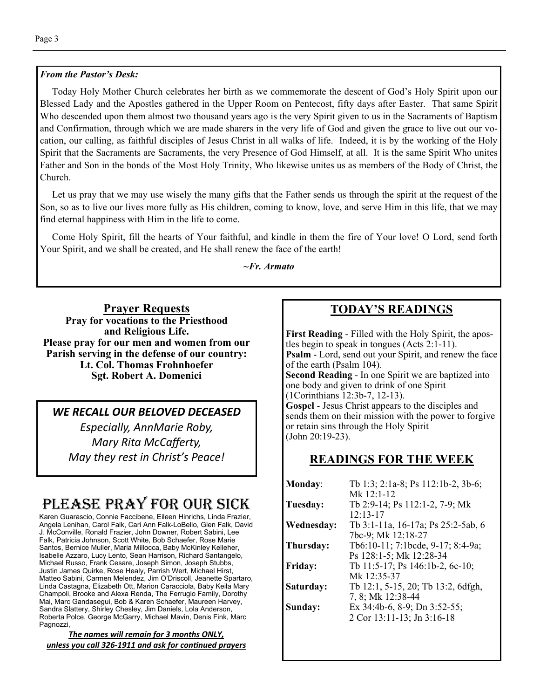#### *From the Pastor's Desk:*

 Today Holy Mother Church celebrates her birth as we commemorate the descent of God's Holy Spirit upon our Blessed Lady and the Apostles gathered in the Upper Room on Pentecost, fifty days after Easter. That same Spirit Who descended upon them almost two thousand years ago is the very Spirit given to us in the Sacraments of Baptism and Confirmation, through which we are made sharers in the very life of God and given the grace to live out our vocation, our calling, as faithful disciples of Jesus Christ in all walks of life. Indeed, it is by the working of the Holy Spirit that the Sacraments are Sacraments, the very Presence of God Himself, at all. It is the same Spirit Who unites Father and Son in the bonds of the Most Holy Trinity, Who likewise unites us as members of the Body of Christ, the Church.

 Let us pray that we may use wisely the many gifts that the Father sends us through the spirit at the request of the Son, so as to live our lives more fully as His children, coming to know, love, and serve Him in this life, that we may find eternal happiness with Him in the life to come.

 Come Holy Spirit, fill the hearts of Your faithful, and kindle in them the fire of Your love! O Lord, send forth Your Spirit, and we shall be created, and He shall renew the face of the earth!

*~Fr. Armato* 

**Prayer Requests Pray for vocations to the Priesthood and Religious Life. Please pray for our men and women from our Parish serving in the defense of our country: Lt. Col. Thomas Frohnhoefer Sgt. Robert A. Domenici** 

*WE RECALL OUR BELOVED DECEASED Especially, AnnMarie Roby, Mary Rita McCafferty, May they rest in Christ's Peace!* 

# PLEASE PRAY FOR OUR SICK

Karen Guarascio, Connie Faccibene, Eileen Hinrichs, Linda Frazier, Angela Lenihan, Carol Falk, Cari Ann Falk-LoBello, Glen Falk, David J. McConville, Ronald Frazier, John Downer, Robert Sabini, Lee Falk, Patricia Johnson, Scott White, Bob Schaefer, Rose Marie Santos, Bernice Muller, Maria Millocca, Baby McKinley Kelleher, Isabelle Azzaro, Lucy Lento, Sean Harrison, Richard Santangelo, Michael Russo, Frank Cesare, Joseph Simon, Joseph Stubbs, Justin James Quirke, Rose Healy, Parrish Wert, Michael Hirst, Matteo Sabini, Carmen Melendez, Jim O'Driscoll, Jeanette Spartaro, Linda Castagna, Elizabeth Ott, Marion Caracciola, Baby Keila Mary Champoli, Brooke and Alexa Renda, The Ferrugio Family, Dorothy Mai, Marc Gandasegui, Bob & Karen Schaefer, Maureen Harvey, Sandra Slattery, Shirley Chesley, Jim Daniels, Lola Anderson, Roberta Polce, George McGarry, Michael Mavin, Denis Fink, Marc Pagnozzi,

*The names will remain for 3 months ONLY, unless you call 326-1911 and ask for conƟnued prayers*

## **TODAY'S READINGS**

**First Reading** - Filled with the Holy Spirit, the apostles begin to speak in tongues (Acts 2:1-11). **Psalm** - Lord, send out your Spirit, and renew the face of the earth (Psalm 104). **Second Reading** - In one Spirit we are baptized into one body and given to drink of one Spirit (1Corinthians 12:3b-7, 12-13). **Gospel** - Jesus Christ appears to the disciples and sends them on their mission with the power to forgive or retain sins through the Holy Spirit (John 20:19-23).

#### **READINGS FOR THE WEEK**

| <b>Monday:</b> | Tb 1:3; 2:1a-8; Ps 112:1b-2, 3b-6;    |
|----------------|---------------------------------------|
|                | Mk 12:1-12                            |
| Tuesday:       | Tb 2:9-14; Ps 112:1-2, 7-9; Mk        |
|                | $12:13-17$                            |
| Wednesday:     | Tb 3:1-11a, 16-17a; Ps 25:2-5ab, 6    |
|                | 7bc-9; Mk 12:18-27                    |
| Thursday:      | Tb6:10-11; 7:1bcde, 9-17; 8:4-9a;     |
|                | Ps 128:1-5; Mk 12:28-34               |
| <b>Friday:</b> | Tb 11:5-17; Ps 146:1b-2, 6c-10;       |
|                | Mk 12:35-37                           |
| Saturday:      | Tb 12:1, 5-15, 20; Tb 13:2, 6dfgh,    |
|                | 7, 8; Mk 12:38-44                     |
| Sunday:        | Ex $34:4b-6$ , $8-9$ ; Dn $3:52-55$ ; |
|                | 2 Cor 13:11-13; Jn 3:16-18            |
|                |                                       |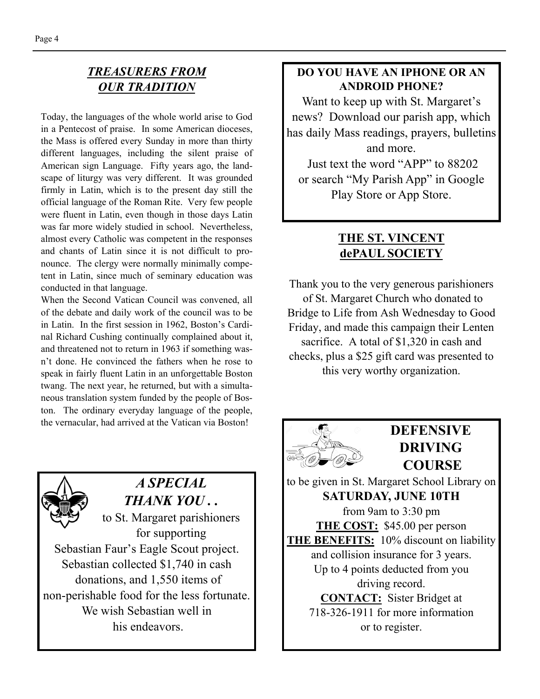## *TREASURERS FROM OUR TRADITION*

Today, the languages of the whole world arise to God in a Pentecost of praise. In some American dioceses, the Mass is offered every Sunday in more than thirty different languages, including the silent praise of American sign Language. Fifty years ago, the landscape of liturgy was very different. It was grounded firmly in Latin, which is to the present day still the official language of the Roman Rite. Very few people were fluent in Latin, even though in those days Latin was far more widely studied in school. Nevertheless, almost every Catholic was competent in the responses and chants of Latin since it is not difficult to pronounce. The clergy were normally minimally competent in Latin, since much of seminary education was conducted in that language.

When the Second Vatican Council was convened, all of the debate and daily work of the council was to be in Latin. In the first session in 1962, Boston's Cardinal Richard Cushing continually complained about it, and threatened not to return in 1963 if something wasn't done. He convinced the fathers when he rose to speak in fairly fluent Latin in an unforgettable Boston twang. The next year, he returned, but with a simultaneous translation system funded by the people of Boston. The ordinary everyday language of the people, the vernacular, had arrived at the Vatican via Boston!



## *A SPECIAL THANK YOU . .*

to St. Margaret parishioners for supporting Sebastian Faur's Eagle Scout project. Sebastian collected \$1,740 in cash donations, and 1,550 items of non-perishable food for the less fortunate. We wish Sebastian well in his endeavors.

### **DO YOU HAVE AN IPHONE OR AN ANDROID PHONE?**

Want to keep up with St. Margaret's news? Download our parish app, which has daily Mass readings, prayers, bulletins and more.

 Just text the word "APP" to 88202 or search "My Parish App" in Google Play Store or App Store.

## **THE ST. VINCENT dePAUL SOCIETY**

Thank you to the very generous parishioners of St. Margaret Church who donated to Bridge to Life from Ash Wednesday to Good Friday, and made this campaign their Lenten sacrifice. A total of \$1,320 in cash and checks, plus a \$25 gift card was presented to this very worthy organization.



## **DEFENSIVE DRIVING COURSE**

to be given in St. Margaret School Library on **SATURDAY, JUNE 10TH**  from 9am to 3:30 pm **THE COST:** \$45.00 per person **THE BENEFITS:** 10% discount on liability and collision insurance for 3 years. Up to 4 points deducted from you driving record. **CONTACT:** Sister Bridget at 718-326-1911 for more information or to register.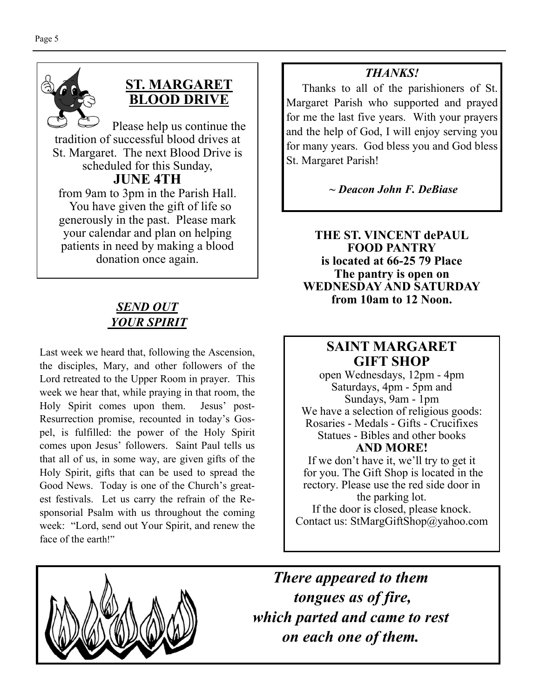

## **ST. MARGARET BLOOD DRIVE**

Please help us continue the tradition of successful blood drives at St. Margaret. The next Blood Drive is scheduled for this Sunday, **JUNE 4TH**  from 9am to 3pm in the Parish Hall. You have given the gift of life so generously in the past. Please mark your calendar and plan on helping patients in need by making a blood donation once again.

## *SEND OUT YOUR SPIRIT*

Last week we heard that, following the Ascension, the disciples, Mary, and other followers of the Lord retreated to the Upper Room in prayer. This week we hear that, while praying in that room, the Holy Spirit comes upon them. Jesus' post-Resurrection promise, recounted in today's Gospel, is fulfilled: the power of the Holy Spirit comes upon Jesus' followers. Saint Paul tells us that all of us, in some way, are given gifts of the Holy Spirit, gifts that can be used to spread the Good News. Today is one of the Church's greatest festivals. Let us carry the refrain of the Responsorial Psalm with us throughout the coming week: "Lord, send out Your Spirit, and renew the face of the earth!"

## *THANKS!*

 Thanks to all of the parishioners of St. Margaret Parish who supported and prayed for me the last five years. With your prayers and the help of God, I will enjoy serving you for many years. God bless you and God bless St. Margaret Parish!

## *~ Deacon John F. DeBiase*

**THE ST. VINCENT dePAUL FOOD PANTRY is located at 66-25 79 Place The pantry is open on WEDNESDAY AND SATURDAY from 10am to 12 Noon.** 

## **SAINT MARGARET GIFT SHOP**

open Wednesdays, 12pm - 4pm Saturdays, 4pm - 5pm and Sundays, 9am - 1pm We have a selection of religious goods: Rosaries - Medals - Gifts - Crucifixes Statues - Bibles and other books **AND MORE!** 

If we don't have it, we'll try to get it for you. The Gift Shop is located in the rectory. Please use the red side door in the parking lot. If the door is closed, please knock. Contact us: StMargGiftShop@yahoo.com



*There appeared to them tongues as of fire, which parted and came to rest on each one of them.*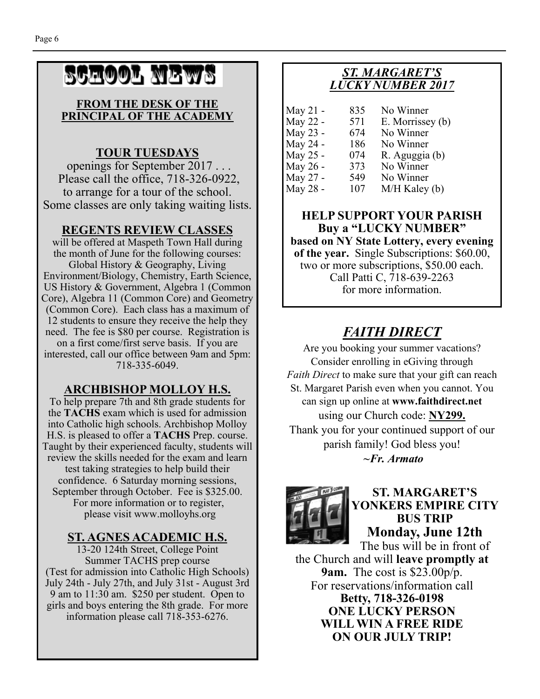# SCHOOL NEWS

#### **FROM THE DESK OF THE PRINCIPAL OF THE ACADEMY**

## **TOUR TUESDAYS**

 openings for September 2017 . . . Please call the office, 718-326-0922, to arrange for a tour of the school. Some classes are only taking waiting lists.

## **REGENTS REVIEW CLASSES**

will be offered at Maspeth Town Hall during the month of June for the following courses: Global History & Geography, Living Environment/Biology, Chemistry, Earth Science, US History & Government, Algebra 1 (Common Core), Algebra 11 (Common Core) and Geometry (Common Core). Each class has a maximum of 12 students to ensure they receive the help they need. The fee is \$80 per course. Registration is on a first come/first serve basis. If you are interested, call our office between 9am and 5pm: 718-335-6049.

### **ARCHBISHOP MOLLOY H.S.**

To help prepare 7th and 8th grade students for the **TACHS** exam which is used for admission into Catholic high schools. Archbishop Molloy H.S. is pleased to offer a **TACHS** Prep. course. Taught by their experienced faculty, students will review the skills needed for the exam and learn test taking strategies to help build their confidence. 6 Saturday morning sessions, September through October. Fee is \$325.00. For more information or to register, please visit www.molloyhs.org

## **ST. AGNES ACADEMIC H.S.**

13-20 124th Street, College Point Summer TACHS prep course (Test for admission into Catholic High Schools) July 24th - July 27th, and July 31st - August 3rd 9 am to 11:30 am. \$250 per student. Open to girls and boys entering the 8th grade. For more information please call 718-353-6276.

## *ST. MARGARET'S LUCKY NUMBER 2017*

| 835 | No Winner        |
|-----|------------------|
| 571 | E. Morrissey (b) |
| 674 | No Winner        |
| 186 | No Winner        |
| 074 | R. Aguggia (b)   |
| 373 | No Winner        |
| 549 | No Winner        |
| 107 | M/H Kaley (b)    |
|     |                  |

### **HELP SUPPORT YOUR PARISH Buy a "LUCKY NUMBER"**

**based on NY State Lottery, every evening of the year.** Single Subscriptions: \$60.00, two or more subscriptions, \$50.00 each. Call Patti C, 718-639-2263 for more information.

# *FAITH DIRECT*

Are you booking your summer vacations? Consider enrolling in eGiving through *Faith Direct* to make sure that your gift can reach St. Margaret Parish even when you cannot. You can sign up online at **www.faithdirect.net**  using our Church code: **NY299.**  Thank you for your continued support of our parish family! God bless you!  *~Fr. Armato* 



#### **ST. MARGARET'S YONKERS EMPIRE CITY BUS TRIP Monday, June 12th**  The bus will be in front of

the Church and will **leave promptly at 9am.** The cost is \$23.00p/p. For reservations/information call **Betty, 718-326-0198 ONE LUCKY PERSON WILL WIN A FREE RIDE ON OUR JULY TRIP!**